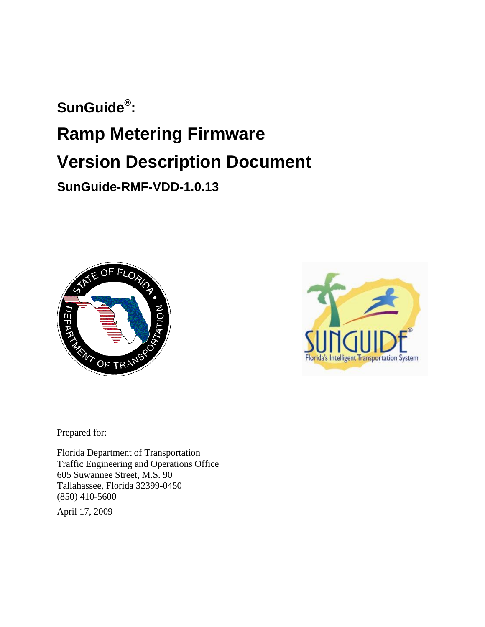# **SunGuide® : Ramp Metering Firmware Version Description Document SunGuide-RMF-VDD-1.0.13**





Prepared for:

Florida Department of Transportation Traffic Engineering and Operations Office 605 Suwannee Street, M.S. 90 Tallahassee, Florida 32399-0450 (850) 410-5600

April 17, 2009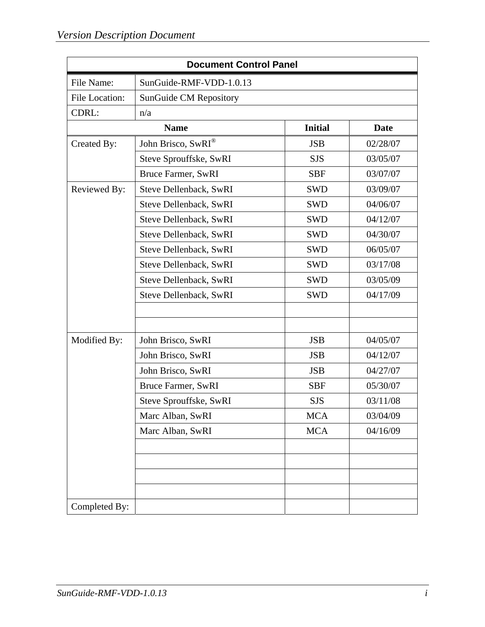| <b>Document Control Panel</b> |                               |                |             |  |
|-------------------------------|-------------------------------|----------------|-------------|--|
| File Name:                    | SunGuide-RMF-VDD-1.0.13       |                |             |  |
| <b>File Location:</b>         | <b>SunGuide CM Repository</b> |                |             |  |
| CDRL:                         | n/a                           |                |             |  |
|                               | <b>Name</b>                   | <b>Initial</b> | <b>Date</b> |  |
| Created By:                   | John Brisco, SwRI®            | <b>JSB</b>     | 02/28/07    |  |
|                               | Steve Sprouffske, SwRI        | <b>SJS</b>     | 03/05/07    |  |
|                               | Bruce Farmer, SwRI            | <b>SBF</b>     | 03/07/07    |  |
| Reviewed By:                  | Steve Dellenback, SwRI        | <b>SWD</b>     | 03/09/07    |  |
|                               | Steve Dellenback, SwRI        | <b>SWD</b>     | 04/06/07    |  |
|                               | Steve Dellenback, SwRI        | <b>SWD</b>     | 04/12/07    |  |
|                               | Steve Dellenback, SwRI        | <b>SWD</b>     | 04/30/07    |  |
|                               | Steve Dellenback, SwRI        | <b>SWD</b>     | 06/05/07    |  |
|                               | Steve Dellenback, SwRI        | <b>SWD</b>     | 03/17/08    |  |
|                               | Steve Dellenback, SwRI        | <b>SWD</b>     | 03/05/09    |  |
|                               | Steve Dellenback, SwRI        | <b>SWD</b>     | 04/17/09    |  |
|                               |                               |                |             |  |
|                               |                               |                |             |  |
| Modified By:                  | John Brisco, SwRI             | <b>JSB</b>     | 04/05/07    |  |
|                               | John Brisco, SwRI             | <b>JSB</b>     | 04/12/07    |  |
|                               | John Brisco, SwRI             | <b>JSB</b>     | 04/27/07    |  |
|                               | Bruce Farmer, SwRI            | <b>SBF</b>     | 05/30/07    |  |
|                               | Steve Sprouffske, SwRI        | <b>SJS</b>     | 03/11/08    |  |
|                               | Marc Alban, SwRI              | <b>MCA</b>     | 03/04/09    |  |
|                               | Marc Alban, SwRI              | <b>MCA</b>     | 04/16/09    |  |
|                               |                               |                |             |  |
|                               |                               |                |             |  |
|                               |                               |                |             |  |
|                               |                               |                |             |  |
| Completed By:                 |                               |                |             |  |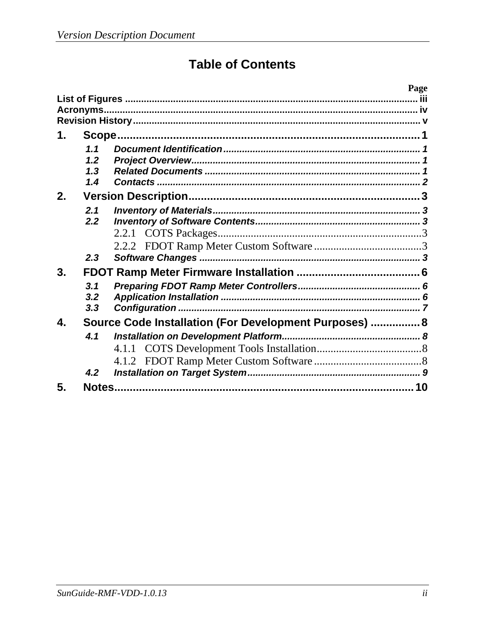## **Table of Contents**

|    |     |                                                        | Page |
|----|-----|--------------------------------------------------------|------|
|    |     |                                                        |      |
|    |     |                                                        |      |
|    |     |                                                        |      |
| 1. |     |                                                        |      |
|    | 1.1 |                                                        |      |
|    | 1.2 |                                                        |      |
|    | 1.3 |                                                        |      |
|    | 1.4 |                                                        |      |
| 2. |     |                                                        |      |
|    | 2.1 |                                                        |      |
|    | 2.2 |                                                        |      |
|    |     |                                                        |      |
|    |     |                                                        |      |
|    | 2.3 |                                                        |      |
| 3. |     |                                                        |      |
|    | 3.1 |                                                        |      |
|    | 3.2 |                                                        |      |
|    | 3.3 |                                                        |      |
| 4. |     | Source Code Installation (For Development Purposes)  8 |      |
|    | 4.1 |                                                        |      |
|    |     |                                                        |      |
|    |     |                                                        |      |
|    | 4.2 |                                                        |      |
| 5. |     |                                                        |      |
|    |     |                                                        |      |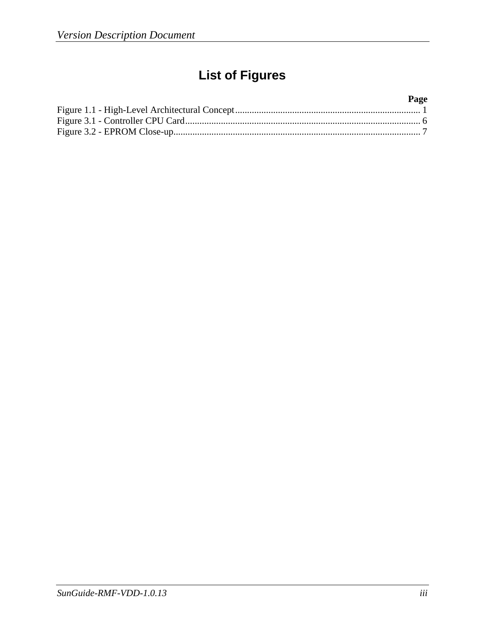## **List of Figures**

#### **Page**  Figure 1.1 - High-Level Architectural Concept .............................................................................. 1 Figure 3.1 - Controller CPU Card ................................................................................................... 6 Figure 3.2 - EPROM Close-up........................................................................................................ 7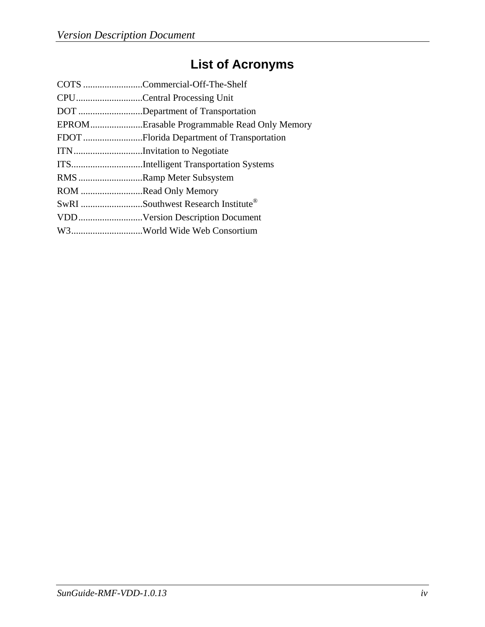## **List of Acronyms**

|                      | COTS Commercial-Off-The-Shelf               |
|----------------------|---------------------------------------------|
|                      | CPUCentral Processing Unit                  |
|                      | DOT Department of Transportation            |
|                      | EPROMErasable Programmable Read Only Memory |
|                      |                                             |
|                      | ITNInvitation to Negotiate                  |
|                      | ITSIntelligent Transportation Systems       |
|                      | RMS Ramp Meter Subsystem                    |
| ROM Read Only Memory |                                             |
|                      | SwRI Southwest Research Institute®          |
|                      | VDDVersion Description Document             |
|                      | W3World Wide Web Consortium                 |
|                      |                                             |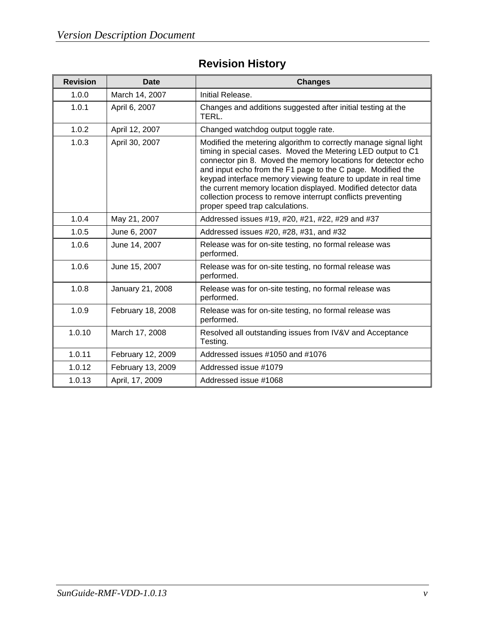### **Revision History**

| <b>Revision</b> | <b>Date</b>       | <b>Changes</b>                                                                                                                                                                                                                                                                                                                                                                                                                                                                                        |
|-----------------|-------------------|-------------------------------------------------------------------------------------------------------------------------------------------------------------------------------------------------------------------------------------------------------------------------------------------------------------------------------------------------------------------------------------------------------------------------------------------------------------------------------------------------------|
| 1.0.0           | March 14, 2007    | Initial Release.                                                                                                                                                                                                                                                                                                                                                                                                                                                                                      |
| 1.0.1           | April 6, 2007     | Changes and additions suggested after initial testing at the<br>TERL.                                                                                                                                                                                                                                                                                                                                                                                                                                 |
| 1.0.2           | April 12, 2007    | Changed watchdog output toggle rate.                                                                                                                                                                                                                                                                                                                                                                                                                                                                  |
| 1.0.3           | April 30, 2007    | Modified the metering algorithm to correctly manage signal light<br>timing in special cases. Moved the Metering LED output to C1<br>connector pin 8. Moved the memory locations for detector echo<br>and input echo from the F1 page to the C page. Modified the<br>keypad interface memory viewing feature to update in real time<br>the current memory location displayed. Modified detector data<br>collection process to remove interrupt conflicts preventing<br>proper speed trap calculations. |
| 1.0.4           | May 21, 2007      | Addressed issues #19, #20, #21, #22, #29 and #37                                                                                                                                                                                                                                                                                                                                                                                                                                                      |
| 1.0.5           | June 6, 2007      | Addressed issues #20, #28, #31, and #32                                                                                                                                                                                                                                                                                                                                                                                                                                                               |
| 1.0.6           | June 14, 2007     | Release was for on-site testing, no formal release was<br>performed.                                                                                                                                                                                                                                                                                                                                                                                                                                  |
| 1.0.6           | June 15, 2007     | Release was for on-site testing, no formal release was<br>performed.                                                                                                                                                                                                                                                                                                                                                                                                                                  |
| 1.0.8           | January 21, 2008  | Release was for on-site testing, no formal release was<br>performed.                                                                                                                                                                                                                                                                                                                                                                                                                                  |
| 1.0.9           | February 18, 2008 | Release was for on-site testing, no formal release was<br>performed.                                                                                                                                                                                                                                                                                                                                                                                                                                  |
| 1.0.10          | March 17, 2008    | Resolved all outstanding issues from IV&V and Acceptance<br>Testing.                                                                                                                                                                                                                                                                                                                                                                                                                                  |
| 1.0.11          | February 12, 2009 | Addressed issues #1050 and #1076                                                                                                                                                                                                                                                                                                                                                                                                                                                                      |
| 1.0.12          | February 13, 2009 | Addressed issue #1079                                                                                                                                                                                                                                                                                                                                                                                                                                                                                 |
| 1.0.13          | April, 17, 2009   | Addressed issue #1068                                                                                                                                                                                                                                                                                                                                                                                                                                                                                 |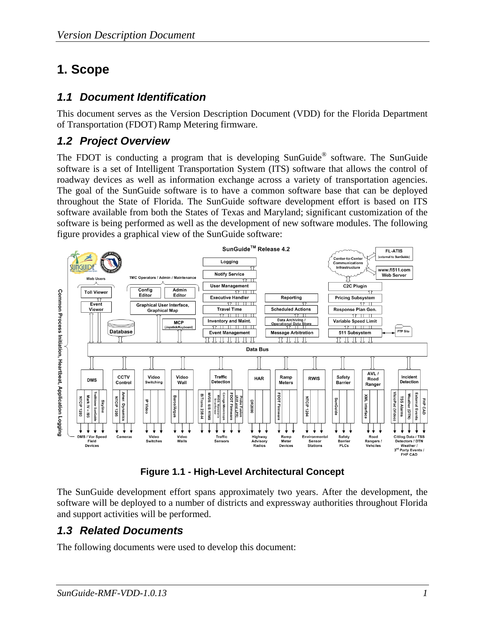## **1. Scope**

#### *1.1 Document Identification*

This document serves as the Version Description Document (VDD) for the Florida Department of Transportation (FDOT) Ramp Metering firmware.

#### *1.2 Project Overview*

The FDOT is conducting a program that is developing SunGuide<sup>®</sup> software. The SunGuide software is a set of Intelligent Transportation System (ITS) software that allows the control of roadway devices as well as information exchange across a variety of transportation agencies. The goal of the SunGuide software is to have a common software base that can be deployed throughout the State of Florida. The SunGuide software development effort is based on ITS software available from both the States of Texas and Maryland; significant customization of the software is being performed as well as the development of new software modules. The following figure provides a graphical view of the SunGuide software:



**Figure 1.1 - High-Level Architectural Concept** 

The SunGuide development effort spans approximately two years. After the development, the software will be deployed to a number of districts and expressway authorities throughout Florida and support activities will be performed.

### *1.3 Related Documents*

The following documents were used to develop this document: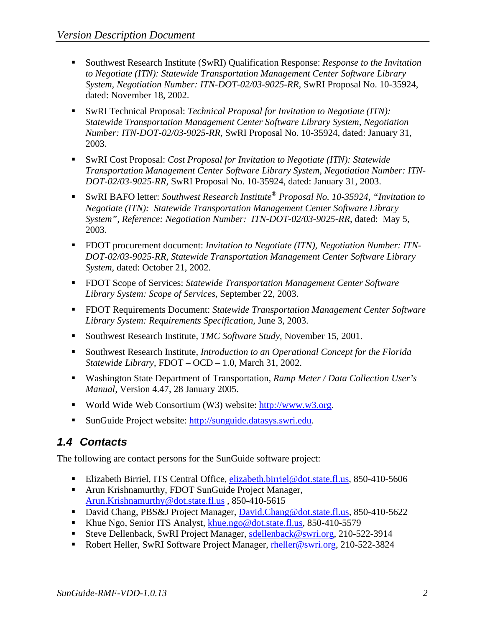- Southwest Research Institute (SwRI) Qualification Response: *Response to the Invitation to Negotiate (ITN): Statewide Transportation Management Center Software Library System, Negotiation Number: ITN-DOT-02/03-9025-RR,* SwRI Proposal No. 10-35924, dated: November 18, 2002.
- SwRI Technical Proposal: *Technical Proposal for Invitation to Negotiate (ITN): Statewide Transportation Management Center Software Library System, Negotiation Number: ITN-DOT-02/03-9025-RR,* SwRI Proposal No. 10-35924, dated: January 31, 2003.
- SwRI Cost Proposal: *Cost Proposal for Invitation to Negotiate (ITN): Statewide Transportation Management Center Software Library System, Negotiation Number: ITN-DOT-02/03-9025-RR,* SwRI Proposal No. 10-35924, dated: January 31, 2003.
- SwRI BAFO letter: *Southwest Research Institute® Proposal No. 10-35924, "Invitation to Negotiate (ITN): Statewide Transportation Management Center Software Library System", Reference: Negotiation Number: ITN-DOT-02/03-9025-RR*, dated: May 5, 2003.
- FDOT procurement document: *Invitation to Negotiate (ITN), Negotiation Number: ITN DOT-02/03-9025-RR, Statewide Transportation Management Center Software Library System*, dated: October 21, 2002.
- FDOT Scope of Services: *Statewide Transportation Management Center Software Library System: Scope of Services,* September 22, 2003.
- FDOT Requirements Document: *Statewide Transportation Management Center Software Library System: Requirements Specification,* June 3, 2003.
- Southwest Research Institute, *TMC Software Study*, November 15, 2001.
- Southwest Research Institute, *Introduction to an Operational Concept for the Florida Statewide Library*, FDOT – OCD – 1.0, March 31, 2002.
- Washington State Department of Transportation, *Ramp Meter / Data Collection User's Manual,* Version 4.47, 28 January 2005.
- World Wide Web Consortium (W3) website: http://www.w3.org.
- SunGuide Project website: http://sunguide.datasys.swri.edu.

### *1.4 Contacts*

The following are contact persons for the SunGuide software project:

- Elizabeth Birriel, ITS Central Office, elizabeth.birriel@dot.state.fl.us, 850-410-5606
- **Arun Krishnamurthy, FDOT SunGuide Project Manager,** Arun.Krishnamurthy@dot.state.fl.us , 850-410-5615
- David Chang, PBS&J Project Manager, David.Chang@dot.state.fl.us, 850-410-5622
- Khue Ngo, Senior ITS Analyst, khue.ngo@dot.state.fl.us, 850-410-5579
- Steve Dellenback, SwRI Project Manager, sdellenback@swri.org, 210-522-3914
- Robert Heller, SwRI Software Project Manager, rheller@swri.org, 210-522-3824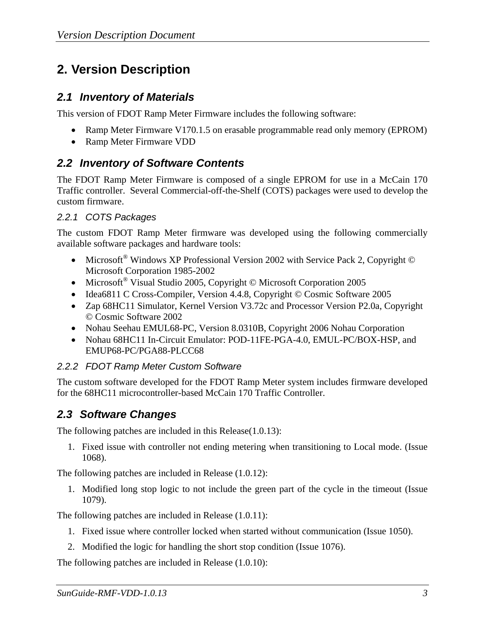## **2. Version Description**

#### *2.1 Inventory of Materials*

This version of FDOT Ramp Meter Firmware includes the following software:

- Ramp Meter Firmware V170.1.5 on erasable programmable read only memory (EPROM)
- Ramp Meter Firmware VDD

### *2.2 Inventory of Software Contents*

The FDOT Ramp Meter Firmware is composed of a single EPROM for use in a McCain 170 Traffic controller. Several Commercial-off-the-Shelf (COTS) packages were used to develop the custom firmware.

#### *2.2.1 COTS Packages*

The custom FDOT Ramp Meter firmware was developed using the following commercially available software packages and hardware tools:

- Microsoft<sup>®</sup> Windows XP Professional Version 2002 with Service Pack 2, Copyright © Microsoft Corporation 1985-2002
- Microsoft<sup>®</sup> Visual Studio 2005, Copyright © Microsoft Corporation 2005
- Idea6811 C Cross-Compiler, Version 4.4.8, Copyright © Cosmic Software 2005
- Zap 68HC11 Simulator, Kernel Version V3.72c and Processor Version P2.0a, Copyright © Cosmic Software 2002
- Nohau Seehau EMUL68-PC, Version 8.0310B, Copyright 2006 Nohau Corporation
- Nohau 68HC11 In-Circuit Emulator: POD-11FE-PGA-4.0, EMUL-PC/BOX-HSP, and EMUP68-PC/PGA88-PLCC68

#### *2.2.2 FDOT Ramp Meter Custom Software*

The custom software developed for the FDOT Ramp Meter system includes firmware developed for the 68HC11 microcontroller-based McCain 170 Traffic Controller.

### *2.3 Software Changes*

The following patches are included in this Release(1.0.13):

1. Fixed issue with controller not ending metering when transitioning to Local mode. (Issue 1068).

The following patches are included in Release (1.0.12):

1. Modified long stop logic to not include the green part of the cycle in the timeout (Issue 1079).

The following patches are included in Release (1.0.11):

- 1. Fixed issue where controller locked when started without communication (Issue 1050).
- 2. Modified the logic for handling the short stop condition (Issue 1076).

The following patches are included in Release (1.0.10):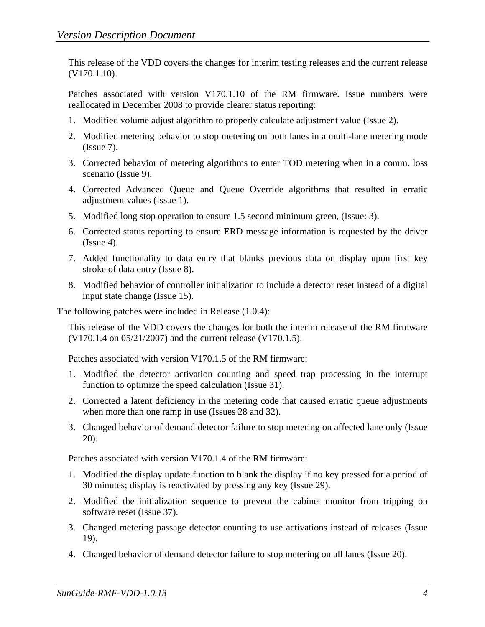This release of the VDD covers the changes for interim testing releases and the current release (V170.1.10).

Patches associated with version V170.1.10 of the RM firmware. Issue numbers were reallocated in December 2008 to provide clearer status reporting:

- 1. Modified volume adjust algorithm to properly calculate adjustment value (Issue 2).
- 2. Modified metering behavior to stop metering on both lanes in a multi-lane metering mode (Issue 7).
- 3. Corrected behavior of metering algorithms to enter TOD metering when in a comm. loss scenario (Issue 9).
- 4. Corrected Advanced Queue and Queue Override algorithms that resulted in erratic adjustment values (Issue 1).
- 5. Modified long stop operation to ensure 1.5 second minimum green, (Issue: 3).
- 6. Corrected status reporting to ensure ERD message information is requested by the driver  $(Issue 4)$ .
- 7. Added functionality to data entry that blanks previous data on display upon first key stroke of data entry (Issue 8).
- 8. Modified behavior of controller initialization to include a detector reset instead of a digital input state change (Issue 15).

The following patches were included in Release (1.0.4):

This release of the VDD covers the changes for both the interim release of the RM firmware (V170.1.4 on 05/21/2007) and the current release (V170.1.5).

Patches associated with version V170.1.5 of the RM firmware:

- 1. Modified the detector activation counting and speed trap processing in the interrupt function to optimize the speed calculation (Issue 31).
- 2. Corrected a latent deficiency in the metering code that caused erratic queue adjustments when more than one ramp in use (Issues 28 and 32).
- 3. Changed behavior of demand detector failure to stop metering on affected lane only (Issue 20).

Patches associated with version V170.1.4 of the RM firmware:

- 1. Modified the display update function to blank the display if no key pressed for a period of 30 minutes; display is reactivated by pressing any key (Issue 29).
- 2. Modified the initialization sequence to prevent the cabinet monitor from tripping on software reset (Issue 37).
- 3. Changed metering passage detector counting to use activations instead of releases (Issue 19).
- 4. Changed behavior of demand detector failure to stop metering on all lanes (Issue 20).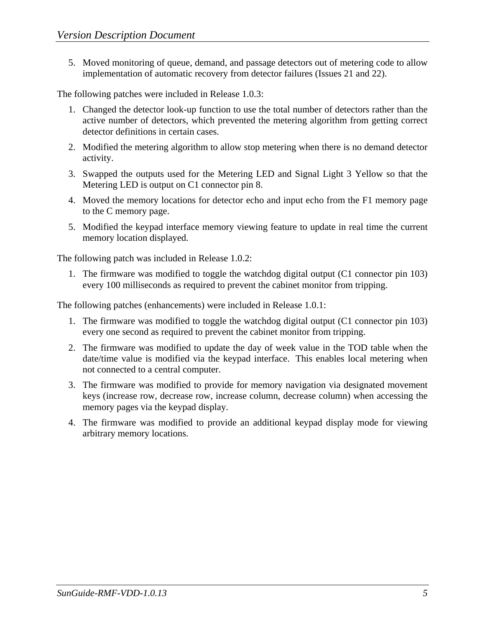5. Moved monitoring of queue, demand, and passage detectors out of metering code to allow implementation of automatic recovery from detector failures (Issues 21 and 22).

The following patches were included in Release 1.0.3:

- 1. Changed the detector look-up function to use the total number of detectors rather than the active number of detectors, which prevented the metering algorithm from getting correct detector definitions in certain cases.
- 2. Modified the metering algorithm to allow stop metering when there is no demand detector activity.
- 3. Swapped the outputs used for the Metering LED and Signal Light 3 Yellow so that the Metering LED is output on C1 connector pin 8.
- 4. Moved the memory locations for detector echo and input echo from the F1 memory page to the C memory page.
- 5. Modified the keypad interface memory viewing feature to update in real time the current memory location displayed.

The following patch was included in Release 1.0.2:

1. The firmware was modified to toggle the watchdog digital output (C1 connector pin 103) every 100 milliseconds as required to prevent the cabinet monitor from tripping.

The following patches (enhancements) were included in Release 1.0.1:

- 1. The firmware was modified to toggle the watchdog digital output (C1 connector pin 103) every one second as required to prevent the cabinet monitor from tripping.
- 2. The firmware was modified to update the day of week value in the TOD table when the date/time value is modified via the keypad interface. This enables local metering when not connected to a central computer.
- 3. The firmware was modified to provide for memory navigation via designated movement keys (increase row, decrease row, increase column, decrease column) when accessing the memory pages via the keypad display.
- 4. The firmware was modified to provide an additional keypad display mode for viewing arbitrary memory locations.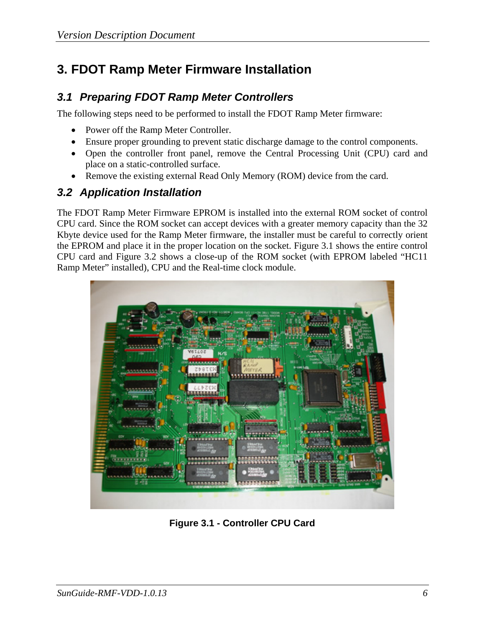## **3. FDOT Ramp Meter Firmware Installation**

### *3.1 Preparing FDOT Ramp Meter Controllers*

The following steps need to be performed to install the FDOT Ramp Meter firmware:

- Power off the Ramp Meter Controller.
- Ensure proper grounding to prevent static discharge damage to the control components.
- Open the controller front panel, remove the Central Processing Unit (CPU) card and place on a static-controlled surface.
- Remove the existing external Read Only Memory (ROM) device from the card.

#### *3.2 Application Installation*

The FDOT Ramp Meter Firmware EPROM is installed into the external ROM socket of control CPU card. Since the ROM socket can accept devices with a greater memory capacity than the 32 Kbyte device used for the Ramp Meter firmware, the installer must be careful to correctly orient the EPROM and place it in the proper location on the socket. Figure 3.1 shows the entire control CPU card and Figure 3.2 shows a close-up of the ROM socket (with EPROM labeled "HC11 Ramp Meter" installed), CPU and the Real-time clock module.



**Figure 3.1 - Controller CPU Card**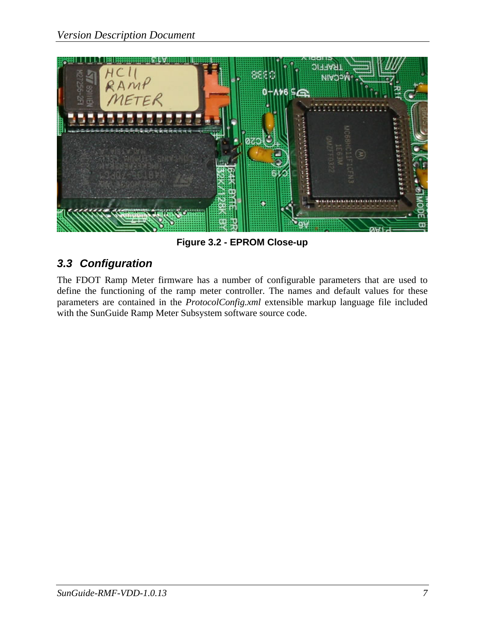

**Figure 3.2 - EPROM Close-up** 

### *3.3 Configuration*

The FDOT Ramp Meter firmware has a number of configurable parameters that are used to define the functioning of the ramp meter controller. The names and default values for these parameters are contained in the *ProtocolConfig.xml* extensible markup language file included with the SunGuide Ramp Meter Subsystem software source code.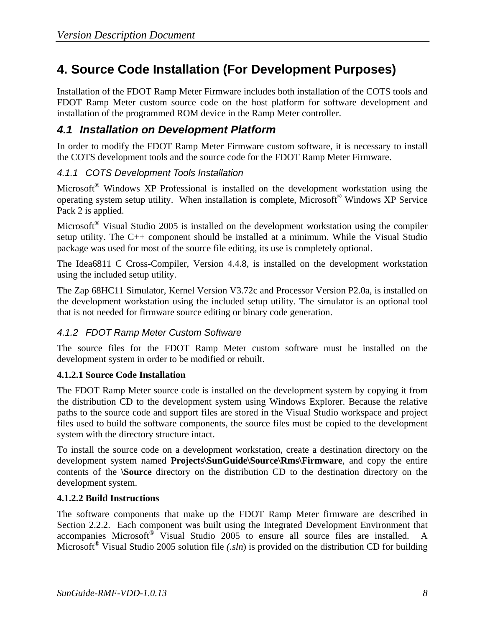## **4. Source Code Installation (For Development Purposes)**

Installation of the FDOT Ramp Meter Firmware includes both installation of the COTS tools and FDOT Ramp Meter custom source code on the host platform for software development and installation of the programmed ROM device in the Ramp Meter controller.

#### *4.1 Installation on Development Platform*

In order to modify the FDOT Ramp Meter Firmware custom software, it is necessary to install the COTS development tools and the source code for the FDOT Ramp Meter Firmware.

#### *4.1.1 COTS Development Tools Installation*

Microsoft<sup>®</sup> Windows XP Professional is installed on the development workstation using the operating system setup utility. When installation is complete, Microsoft® Windows XP Service Pack 2 is applied.

Microsoft® Visual Studio 2005 is installed on the development workstation using the compiler setup utility. The C++ component should be installed at a minimum. While the Visual Studio package was used for most of the source file editing, its use is completely optional.

The Idea6811 C Cross-Compiler, Version 4.4.8, is installed on the development workstation using the included setup utility.

The Zap 68HC11 Simulator, Kernel Version V3.72c and Processor Version P2.0a, is installed on the development workstation using the included setup utility. The simulator is an optional tool that is not needed for firmware source editing or binary code generation.

#### *4.1.2 FDOT Ramp Meter Custom Software*

The source files for the FDOT Ramp Meter custom software must be installed on the development system in order to be modified or rebuilt.

#### **4.1.2.1 Source Code Installation**

The FDOT Ramp Meter source code is installed on the development system by copying it from the distribution CD to the development system using Windows Explorer. Because the relative paths to the source code and support files are stored in the Visual Studio workspace and project files used to build the software components, the source files must be copied to the development system with the directory structure intact.

To install the source code on a development workstation, create a destination directory on the development system named **Projects\SunGuide\Source\Rms\Firmware**, and copy the entire contents of the **\Source** directory on the distribution CD to the destination directory on the development system.

#### **4.1.2.2 Build Instructions**

The software components that make up the FDOT Ramp Meter firmware are described in Section 2.2.2. Each component was built using the Integrated Development Environment that accompanies Microsoft<sup>®</sup> Visual Studio 2005 to ensure all source files are installed. A Microsoft<sup>®</sup> Visual Studio 2005 solution file *(.sln*) is provided on the distribution CD for building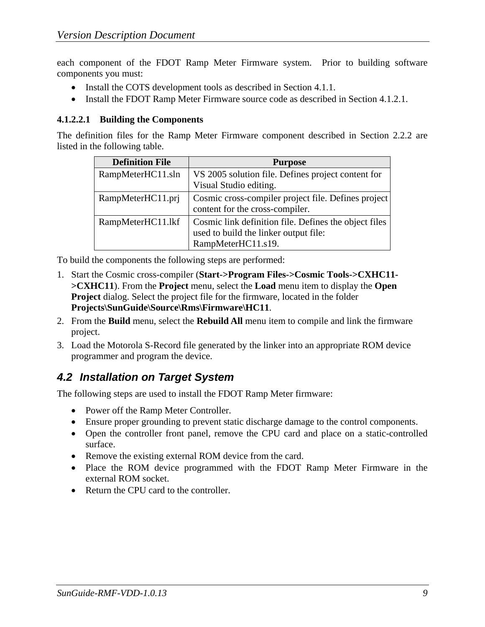each component of the FDOT Ramp Meter Firmware system. Prior to building software components you must:

- Install the COTS development tools as described in Section 4.1.1.
- Install the FDOT Ramp Meter Firmware source code as described in Section 4.1.2.1.

#### **4.1.2.2.1 Building the Components**

The definition files for the Ramp Meter Firmware component described in Section 2.2.2 are listed in the following table.

| <b>Definition File</b> | <b>Purpose</b>                                                                                 |
|------------------------|------------------------------------------------------------------------------------------------|
| RampMeterHC11.sln      | VS 2005 solution file. Defines project content for                                             |
|                        | Visual Studio editing.                                                                         |
| RampMeterHC11.prj      | Cosmic cross-compiler project file. Defines project                                            |
|                        | content for the cross-compiler.                                                                |
| RampMeterHC11.lkf      | Cosmic link definition file. Defines the object files<br>used to build the linker output file: |
|                        | RampMeterHC11.s19.                                                                             |

To build the components the following steps are performed:

- 1. Start the Cosmic cross-compiler (**Start->Program Files->Cosmic Tools->CXHC11- >CXHC11**). From the **Project** menu, select the **Load** menu item to display the **Open Project** dialog. Select the project file for the firmware, located in the folder **Projects\SunGuide\Source\Rms\Firmware\HC11**.
- 2. From the **Build** menu, select the **Rebuild All** menu item to compile and link the firmware project.
- 3. Load the Motorola S-Record file generated by the linker into an appropriate ROM device programmer and program the device.

### *4.2 Installation on Target System*

The following steps are used to install the FDOT Ramp Meter firmware:

- Power off the Ramp Meter Controller.
- Ensure proper grounding to prevent static discharge damage to the control components.
- Open the controller front panel, remove the CPU card and place on a static-controlled surface.
- Remove the existing external ROM device from the card.
- Place the ROM device programmed with the FDOT Ramp Meter Firmware in the external ROM socket.
- Return the CPU card to the controller.